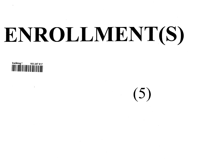# **ENROLLMENT(S)**



 $(5)$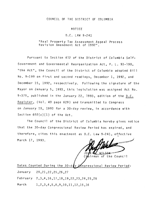### COUNCIL OF THE DISTRICT OF COLUMBIA

### NOTICE

### **D.C.** LAW 9-241

## "Real Property Tax Assessment Appeal Process Revision Amendment Act of 1992"

Pursuant to Section 412 of the District of Columbia Self-Government and Governmental Reorganization Act, P. L. 93-198, "the Act", the Council of the District of Columbia adopted Bill No. 9-199 on first and second readings, December 1, 1992, and December 15, 1992, respectively. Following the signature of the Mayor on January 5, 1993, this legislation was assigned Act No. 9-375, published in the January 22, 1993, edition of the D.C. Register, (Vol. 40 page 629) and transmitted to Congress on January 15, 1993 for a 30-day review, in accordance with Section  $602(c)(1)$  of the Act.

The Council of the District of Columbia hereby gives notice that the 30-day Congressional Review Period has expired, and therefore, cites this enactment as D.C. Law 9-241, effective March 17, 1993.

**CONSTRUCTION** 

JOUN <u>C WILSON</u>  $J<sub>0</sub>$ 

Dates Counted During the 30-ddy Congressional Review Period:

January 20,21,22,25,26,27

February 2,3,4,16,17,18,19,22,23,24,25,26

March 1, 2, 3, 4, 5, 8, 9, 10, 11, 12, 15, 16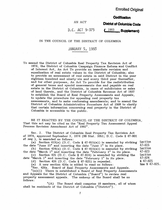# **Enrolled Original**

Codification

### AN ACT

**District of Columbia Code** 

# D,C, ACT 9-375

### $\sqrt{1993}$ **Supplement)**

### IN THE COUNCIL OF THE DISTRICT OF COLUMBIA

# JANUARY 5, 1993

To amend the District of Columbia Real Property Tax Revision Act of 1974, the District of Columbia Campaign Finance Reform and Conflict of Interest Act, An Act To provide an immediate revision and equalization of real estate values in the District of Columbia; also to provide an assessment of real estate in said District in the year eighteen hundred and ninety-six and every third year thereafter, and for other purposes, An Act To provide for the redistribution of general taxes and special assessments due and payable on real estate in the District of Columbia, in cases of subdivision or sales of land therein, and the District of Columbia Revenue Act of 1937 to establish the Board of Real Property Assessments and Appeals, to update the procedure for appealing real property tax assessments, and to make conforming amendments; and to amend the District of Columbia Administrative Procedure Act of 1968 to clarify that certain information concerning real property in the District of Columbia is accessible to the public.

BE IT ENACTED BY THE COUNCIL OF THE DISTRICT OF COLUMBIA, That this act may be cited as the "Real Property Tax Assessment Appeal Process Revision Amendment Act of 1992"

See. 2. The District of Columbia Real Property Tax Revision Act of 1974, approved September 3, 1974 (88 Stat. 1051; D.C. Code § 47-801) *ef seq.),* is amended as follows:

(a) Section 413(a) (D.C. Code § 47-815(a)) is amended by striking Section  $|A|$  and inserting the date "lune  $1$ " in its place  $47-815$ the date "June  $15$ " and inserting the date "June  $1$ " in its place. 47-815

(b) Section  $424(a)$  (D.C. Code §  $47-823(a)$ ) is amended by striking Section the date "March 1" and inserting the date "February 1" in its place.

(c) Section 425 (D.C. Code § 47-824) is amended by striking the date "March 1" and inserting the date "February 1" in its place.

(d) Section 426 (D.C. Code § 47-825) is repealed.

(e) A new section 426a is added to read as follows:

"Sec. 426a. Board of Real Property Assessments and Appeals.

 $"(a)(1)$  There is established a Board of Real Property Assessments and Appeals for the District of Columbia ("Board") to review real property assessment appeals. The makeup of the Board shall be as follows :

"(A) The Board shall comprise 18 members, all of whom shall be residents of the District of Columbia ("District").

47-823 Section 47-824 § 47-825

New § 47-825.

 $\mathcal{I}$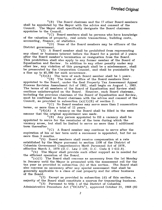"(B) The Board chairman and the 17 other Board members shall be appointed by the Mayor with the advice and consent of the Council. The Mayor shall specifically designate the Board chairman appointee to the Council.

"(C) Board members shall be persons who have knowledge of the valuation of property, real estate transactions, building costs, accounting, finance, or statistics.

"(D) None of the Board members may be officers of the District government.<br> $(2)$  A B

A Board member shall be prohibited from representing any client or business interest before the Board for a period of 2 years after the Board member's termination or resignation from the Board. This prohibition shall also apply to any former member of the Board of Equalization and Review. In addition to any other penalty under any other law, any violation of this paragraph shall be a misdemeanor, shall be prosecuted by the Corporation Counsel, and shall be punishable by a fine up to \$5,000 for each occurrence.

 $"(3)(A)$  The term of each Board member shall be 5 years.

"(B) The term of office of the Board members first appointed to the Board, under the Real Property Tax Assessment Appeal Process Revision Amendment Act of 1992, shall begin on August 1, 1993. The terms of all members of the Board of Equalization and Review shall continue uninterrupted on the Board. However, each Board chairman, including the previous chairman of the Board of Equalization and Review, must be confirmed as Board chairman with the advice and consent of the Council, as provided in subsection  $(a)(1)(B)$  of section 2.

"(C) No Board member may serve more than 2 consecutive terms, or more than a total of 12 years.

"(4)(A) A vacancy on the Board shall be filled in the same manner that the original appointment was made.

"(B) Any person appointed to fill a vacancy shall be appointed to serve for the remainder of the term during which the vacancy arose, but shall be limited to serve no more than 1 additional term thereafter.

"(C) A Board member may continue to serve after the expiration of his or her term until a successor is appointed, but for no more than 3 months.

"(5) Board members shall receive compensation at a rate established by the Mayor pursuant to section 1108 of the District of Columbia Government Comprehensive Merit Personnel Act of 1978,

effective March 3, 1979 ( $\overline{D}$ .C. Law 2-139;  $\overline{D}$ .C. Code § 1-612.8).<br>"(b) The Mayor shall provide such other support as is need The Mayor shall provide such other support as is needed for the efficient operation of the Board.

"(c)(1) The Board shall convene as necessary from the 1st Monday in January until the Mayor is presented with the assessment roll for the tax year as provided in subsection (h) of this section. The Board shall also convene as necessary after any special assessment that shall be generally applicable to a class of real property and for other business of the Board.

"(2) Except as provided in subsection (d) of this section, a majority of the Board shall constitute a quorum for transacting business.

"(3) Pursuant to title 1 of the District of Columbia Administrative Procedure Act ("DCAPA"), approved October 21, 1968 (82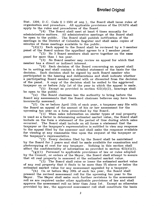Stat. 1204; D.C. Code § 1-1501 *et seq.*), the Board shall issue rules of organization and procedure. All applicable provisions of the DCAPA shall apply to the rules and procedures of the Board.

 $"$ (4) The Board shall meet at least 4 times annually for administrative matters. All administrative meetings of the Board s All administrative meetings of the Board shall be open to the public. The Board shall publish notification of the meetings in the District of Columbia Register and shall make copies of minutes of those meetings available to the public.

 $\binom{n}{1}$  Each appeal to the Board shall be reviewed by a 3-member panel of the Board unless the appellant agrees to a 2 member panel.

"(2) No 3 Board members shall serve together on the same panel for more than 1 tax year.

"(3) No Board member may review an appeal for which that member has a direct or indirect interest.

"(4) Each decision of the Board concerning an appeal shall be in writing and shall contain a detailed statement of the basis for the decision. Each decision shall be signed by each Board member who participated in the hearing and deliberations and shall indicate whether a participating Board member agreed with or dissented from the decision of the panel. A copy of the decision shall be mailed to the aggrieved taxpayer on or before July 1st of the year in which the appeal is made.

 $"$ (5) Except as provided in section  $422(d)(2)$ , hearings shall be open to the public.

"(e) The Board chairman has the authority to bring before the Board any assessments that the Board chairman believes may have been incorrectly assessed.

"(f) On or before April 15th of each year, a taxpayer may file with the Board an appeal of the amount of his or her assessment for the upcoming tax year on a form prescribed by the Board.

"(1) When sales information on similar types of real property is used as a factor in determining estimated market value, the Board shall include on the form a statement of the period of time during which sales occurred. The Board shall include on all forms a statement that the taxpayer or the taxpayer's representative is entitled to view any response to the appeal filed by the assessor and shall make the response available for viewing at any reasonable time upon the request of the taxpayer or the taxpayer's representative.

"(2) Every decision filed by the Board shall be maintained by the Board for 2 years and shall be made available for examination and photocopying at cost for any taxpayer. Nothing in this section shall affect the confidentiality of information as provided in section 422(d)(2).

"(g)(1) Pursuant to applicable provisions of law or rules adopted by the Council, or orders of the Mayor, the Board shall attempt to assure that all real property is assessed at the estimated market value.

"(2) The Board shall raise or lower the estimated market value of any real property that it finds to be more than 54 above or below the estimated market value for any assessment appealed by a taxpayer.

"(h) On or before May 20th of each tax year, the Board shall present the revised assessment roll for the upcoming tax year to the Mayor. The Mayor shall make such further revisions to the assessment roll as are required under other applicable provisions of law and shall approve the assessment roll no later than June 1st. Except as otherwise provided by law, the approved assessment roll shall constitute the basis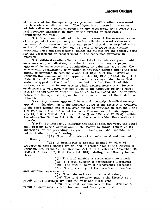of assessment for the upcoming tax year and until another assessment roll is made according to law. The Mayor is authorized to make an administrative or clerical correction to any assessment or to correct any real property classification only for the current or immediately forthcoming tax year.

"(i) The Board shall not order an increase of the assessed value of any parcel of real property above its estimated market value or a decrease of the assessed value of any parcel of real property below its estimated market value solely on the basis of average ratio studies comparing sales and assessments, unless the studies are the primary basis for the assessment or reassessment of the concerned property in question.<br> $"(i)$ 

Within 6 months after October 1st of the calendar year in which an assessment, equalization, or valuation was made, any taxpayer aggrieved by an assessment, equalization, or valuation may appeal the assessment, equalization, or valuation in the same manner and to the same extent as provided in sections 3 and 4 of title IX of the District of Columbia Revenue Act of 1937, approved May 16, 1938 (52 Stat. 371; D.C. Code §§ 47-3303 and 47-3304), provided the taxpayer shall have first made the appeal to the Board as provided in subsection (f) of this section, except that in any case in which written notice of an increase or decrease of valuation was not given to the taxpayer prior to March 15th of the tax year in question, no appeal to the Board shall be required before the taxpayer may appeal to the Superior Court of the District of Columbia.<br> $"$ (k)

Any person aggrieved by a real property classification may appeal the classification to the Superior Court of the District of Columbia in the same manner and to the same extent as provided in sections 3 and 4 of title IX of the District of Columbia Revenue Act of 1937, approved May 16, 1938 (52 Star. 371; D.C. Code §§ 47-3303 and 47-3304), within 6 months after October 1st of the calendar year in which the classification is made.

 $\binom{n}{1}(1)$  By October 1, following the end of each tax year, the Board shall present to the Council and to the Mayor an annual report on its operations for the preceding tax year. The report shall include, but not be limited to, the following:<br> $"(A)$  The total i

The total number of appeals heard and decided by the Board;

"(B) A breakdown of appeals decided by class of property as those classes are defined in section 412a of the District of Columbia Real Property Tax Revision Act of 1974, effective November 20, 1979 (D.C. Law 3-37; D.C. Code § 47-813), stating the following for each class :

"(i) The total number of assessments sustained;

"(ii) The total number of assessments increased;

"(iii) The total number of assessments decreased;

"(iv) The percentage of the increased, decreased, and sustained assessments;

 $"(v)$  The gain and loss in assessed value;

"(vi) The total revenue gain to the District as a result of the increases by both tax year and fiscal year;

"(vii) The total revenue loss to the District as a result of decreases by both tax year and fiscal year; and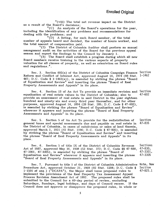"(viii) The total net revenue impact on the District as a result o£ the Board's decisions;

"(C) An analysis of the Board's operations for the year, including the identification of any problems and recommendations for dealing with the problems; and

"(D) A listing, for each Board member, of the total number of appeals heard and decided, the number of hours worked, and the total amount of compensation paid.

"(2) The District of Columbia Auditor shall perform an annual management audit on the activities of the Board for the previous appeal season and report the findings to the Council by January 1.

"(3) The Board shall establish a program during which all new Board members receive training in the various aspects of property valuation for all classes of property, as well as orientation on Board rules and regulations."

Sec. 3. Section 602(a) of the District of Columbia Campaign Finance Section<br>m and Conflict of Interest Act, approved August 14, 1974 (88 Stat, 1-1462) Reform and Conflict of Interest Act, approved August 14, 1974 (88 Stat. 467; D.C. Code § 1-1462(a)), is amended by striking the phrase "Board of Equalization and Review" and inserting the phrase "Board of Real Property Assessments and Appeals" in its place.

Sec. 4. Section 13 of An Act To provide an immediate revision and Section equalization of real estate values in the District of Columbia; also to provide an assessment of real estate in said District in the year eighteen hundred and ninety-six and every third year thereafter, and for other purposes, approved August 14, 1894 (28 Stat. 285; D.C. Code § 47-602), is amended by striking the phrase "Board of Equalization and Review" wherever it appears and inserting the phrase "Board of Real Property Assessments and Appeals" in its place.

See. 5. Section 5 of An Act To provide for the redistribution of general taxes and special assessments due and payable on real estate in the District of Columbia, in cases of subdivision or sales of land therein, approved March 1, 1921 (41 Stat. 1196; D.C. Code § 47-835), is amended by striking the phrase "Board of Equalization and Review" and inserting the phrase "Board of Real Property Assessments and Appeals" in its place.

Sec. 6. Section 5 of title IX of the District of Columbia Revenue Sections<br>of 1937, approved May 16, 1938 (52 Stat. 372; D.C. Code 88 47-830, 47-830, Act of 1937, approved May 16, 1938 (52 Stat. 372; D.C. Code §§ 47-830, 47-830, 47-830, 47-930, 47-3301,  $47-3301$ ,  $47-3305$ ), is amended by striking the phrase "Board of  $47-3301$ <br>Equalization and Review" wherever it appears and inserting the phrase  $47-3305$ Equalization and Review" wherever it appears and inserting the phrase "Board of Real Property Assessments and Appeals" in its place.

Sec. 7. Pursuant to title 1 of the District of Columbia Administrative Note, New<br>dure Act. approved October 21, 1968 (82 Stat. 1204: D.C. Code § Section Procedure Act, approved October 21, 1968 (82 Stat. 1204; D.C. Code § Section 1-1501 *et seq.*) ("DCAPA"), the Mayor shall issue proposed rules to 47-825.1 1-1501 *et seq.*) ( $\overline{D}CAPA$ "), the Mayor shall issue proposed rules to implement the provisions of the Real Property Tax Assessment Appeal Process Revision Amendment Act of 1992. The proposed rules shall be submitted to the Council for a 60-day period of review, excluding Saturdays, Sundays, legal holidays, and days of Council recess. If the Council does not approve or disapprove the proposed rules, in whole or

47-602

Section 47-835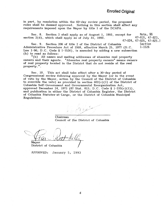# **Enrolled Original**

in part, by resolution within the 60-day review period, the proposed rules shall be deemed approved. Nothing in this section shall affect any requirements imposed upon the Mayor by title 1 of the DCAPA.

Sec. 8. Section 2 shall apply as of August 1, 1993, except for Note, §§ section  $2(d)$ , which shall apply as of July 31, 1993.

47-824, 47-825, 47-825.]

See. 9. Section 206 of title 2 of the District of Columbia Section Administrative Procedure Act of 1968, effective March 25, 1977 (D.C. Law 1-96; D.C. Code § 1-1526), is amended by adding a new subsection (h) to read as follows:

"(h) All names and mailing addresses of absentee real property owners and their agents. "Absentee real property owners" means owners of real property located in the District that do not reside at the real property.".

See. 10. This act shall take effect after a 30-day period of Congressional review following approval by the Mayor (or in the event of veto by the Mayor, action by the Council of the District of Columbia to override the veto) as provided in section  $602(c)(1)$  of the District of Columbia Self-Government and Governmental Reorganization Act, approved December 24, 1973 (87 Stat. 813; D.C. Code § 1-233(c)(1)), and publication in either the District of Columbia Register, the District of Columbia Statutes-at-Large, or the District of Columbia Municipal Regulations.

Chairman Council of the District of Columbia

Mayor District of Columbia

APPROVED: January 5, 1993

6